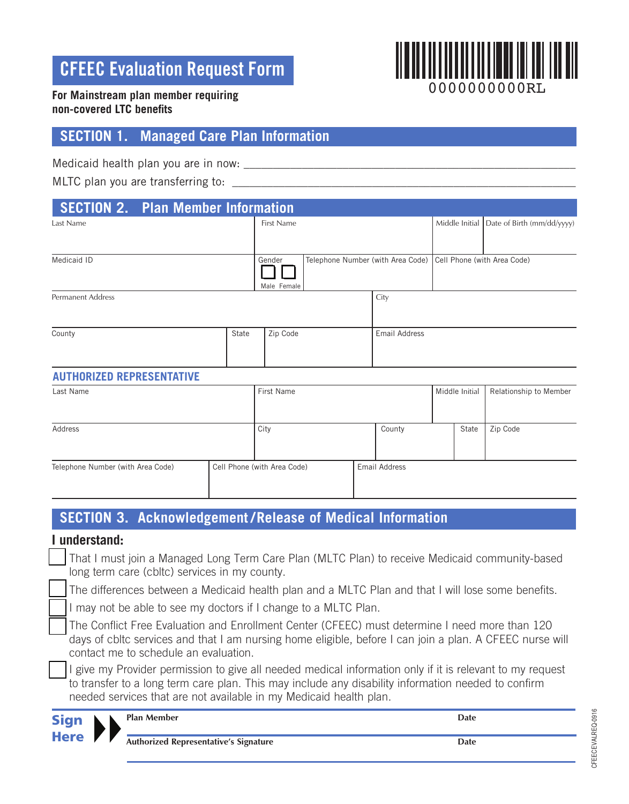# **CFEEC Evaluation Request Form**



#### **For Mainstream plan member requiring non-covered LTC benefits**

# **SECTION 1. Managed Care Plan Information**

Medicaid health plan you are in now: \_\_\_\_\_\_\_\_\_\_\_\_\_\_\_\_\_\_\_\_\_\_\_\_\_\_\_\_\_\_\_\_\_\_\_\_\_\_\_\_\_\_\_\_\_\_\_\_\_\_\_\_\_\_\_\_\_

MLTC plan you are transferring to: \_\_\_\_\_\_\_\_\_\_\_\_\_\_\_\_\_\_\_\_\_\_\_\_\_\_\_\_\_\_\_\_\_\_\_\_\_\_\_\_\_\_\_\_\_\_\_\_\_\_\_\_\_\_\_\_\_\_\_

|                                  | <b>SECTION 2. Plan Member Information</b> |                                                               |  |                      |  |                                             |
|----------------------------------|-------------------------------------------|---------------------------------------------------------------|--|----------------------|--|---------------------------------------------|
| Last Name                        |                                           | First Name                                                    |  |                      |  | Middle Initial   Date of Birth (mm/dd/yyyy) |
|                                  |                                           |                                                               |  |                      |  |                                             |
| Medicaid ID                      | Gender<br>Male Female                     | Telephone Number (with Area Code) Cell Phone (with Area Code) |  |                      |  |                                             |
| <b>Permanent Address</b>         |                                           |                                                               |  | City                 |  |                                             |
| County                           | State                                     | Zip Code                                                      |  | <b>Email Address</b> |  |                                             |
| <b>AUTHORIZED REPRESENTATIVE</b> |                                           |                                                               |  |                      |  |                                             |

# Last Name **First Name** First Name Middle Initial Relationship to Member Address and City City County County State Zip Code Telephone Number (with Area Code) Cell Phone (with Area Code) Email Address

# **SECTION 3. Acknowledgement / Release of Medical Information**

#### **I understand:**

**Here** 

| Sign | <b>Plan Member</b><br>Date                                                                                                                                                |
|------|---------------------------------------------------------------------------------------------------------------------------------------------------------------------------|
|      | to transfer to a long term care plan. This may include any disability information needed to confirm<br>needed services that are not available in my Medicaid health plan. |
|      | I give my Provider permission to give all needed medical information only if it is relevant to my request                                                                 |
|      | days of cbltc services and that I am nursing home eligible, before I can join a plan. A CFEEC nurse will<br>contact me to schedule an evaluation.                         |
|      | The Conflict Free Evaluation and Enrollment Center (CFEEC) must determine I need more than 120                                                                            |
|      | I may not be able to see my doctors if I change to a MLTC Plan.                                                                                                           |
|      | The differences between a Medicaid health plan and a MLTC Plan and that I will lose some benefits.                                                                        |
|      | That I must join a Managed Long Term Care Plan (MLTC Plan) to receive Medicaid community-based<br>long term care (cbltc) services in my county.                           |
|      |                                                                                                                                                                           |

**Authorized Representative's Signature Date**